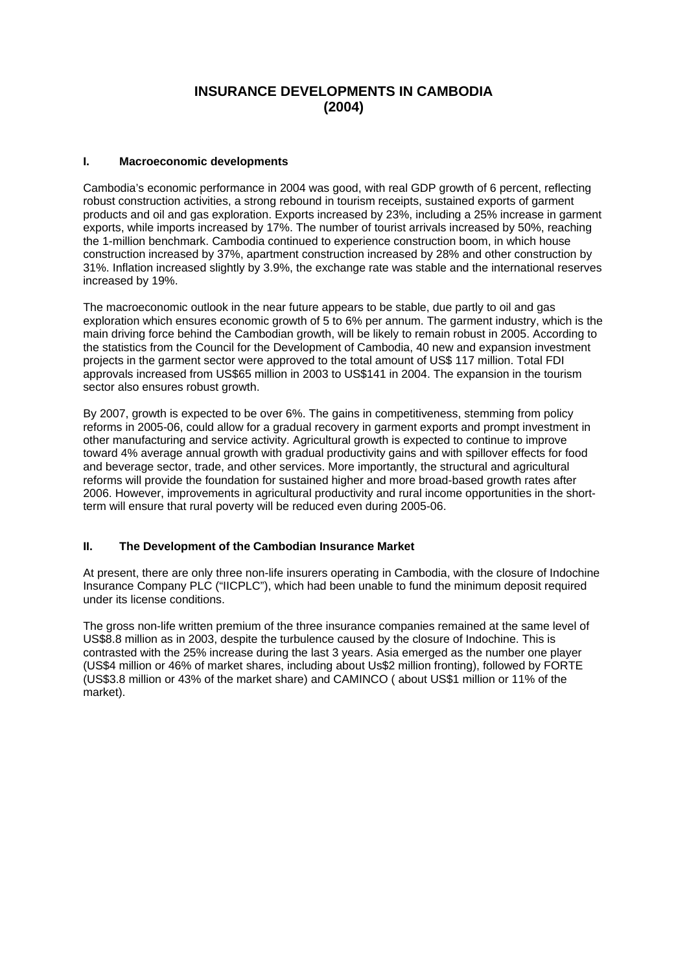# **INSURANCE DEVELOPMENTS IN CAMBODIA (2004)**

# **I. Macroeconomic developments**

Cambodia's economic performance in 2004 was good, with real GDP growth of 6 percent, reflecting robust construction activities, a strong rebound in tourism receipts, sustained exports of garment products and oil and gas exploration. Exports increased by 23%, including a 25% increase in garment exports, while imports increased by 17%. The number of tourist arrivals increased by 50%, reaching the 1-million benchmark. Cambodia continued to experience construction boom, in which house construction increased by 37%, apartment construction increased by 28% and other construction by 31%. Inflation increased slightly by 3.9%, the exchange rate was stable and the international reserves increased by 19%.

The macroeconomic outlook in the near future appears to be stable, due partly to oil and gas exploration which ensures economic growth of 5 to 6% per annum. The garment industry, which is the main driving force behind the Cambodian growth, will be likely to remain robust in 2005. According to the statistics from the Council for the Development of Cambodia, 40 new and expansion investment projects in the garment sector were approved to the total amount of US\$ 117 million. Total FDI approvals increased from US\$65 million in 2003 to US\$141 in 2004. The expansion in the tourism sector also ensures robust growth.

By 2007, growth is expected to be over 6%. The gains in competitiveness, stemming from policy reforms in 2005-06, could allow for a gradual recovery in garment exports and prompt investment in other manufacturing and service activity. Agricultural growth is expected to continue to improve toward 4% average annual growth with gradual productivity gains and with spillover effects for food and beverage sector, trade, and other services. More importantly, the structural and agricultural reforms will provide the foundation for sustained higher and more broad-based growth rates after 2006. However, improvements in agricultural productivity and rural income opportunities in the shortterm will ensure that rural poverty will be reduced even during 2005-06.

## **II. The Development of the Cambodian Insurance Market**

At present, there are only three non-life insurers operating in Cambodia, with the closure of Indochine Insurance Company PLC ("IICPLC"), which had been unable to fund the minimum deposit required under its license conditions.

The gross non-life written premium of the three insurance companies remained at the same level of US\$8.8 million as in 2003, despite the turbulence caused by the closure of Indochine. This is contrasted with the 25% increase during the last 3 years. Asia emerged as the number one player (US\$4 million or 46% of market shares, including about Us\$2 million fronting), followed by FORTE (US\$3.8 million or 43% of the market share) and CAMINCO ( about US\$1 million or 11% of the market).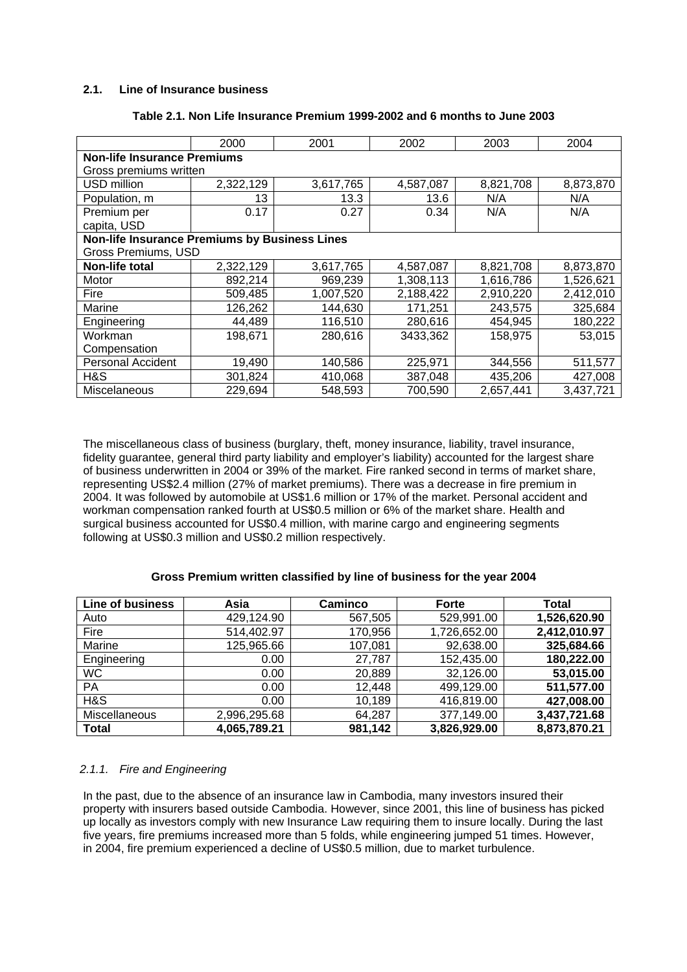## **2.1. Line of Insurance business**

|                                               | 2000      | 2001      | 2002      | 2003      | 2004      |  |  |  |
|-----------------------------------------------|-----------|-----------|-----------|-----------|-----------|--|--|--|
| <b>Non-life Insurance Premiums</b>            |           |           |           |           |           |  |  |  |
| Gross premiums written                        |           |           |           |           |           |  |  |  |
| USD million                                   | 2,322,129 | 3,617,765 | 4,587,087 | 8,821,708 | 8,873,870 |  |  |  |
| Population, m                                 | 13        | 13.3      | 13.6      | N/A       | N/A       |  |  |  |
| Premium per                                   | 0.17      | 0.27      | 0.34      | N/A       | N/A       |  |  |  |
| capita, USD                                   |           |           |           |           |           |  |  |  |
| Non-life Insurance Premiums by Business Lines |           |           |           |           |           |  |  |  |
| Gross Premiums, USD                           |           |           |           |           |           |  |  |  |
| Non-life total                                | 2,322,129 | 3,617,765 | 4,587,087 | 8,821,708 | 8,873,870 |  |  |  |
| Motor                                         | 892,214   | 969,239   | 1,308,113 | 1,616,786 | 1,526,621 |  |  |  |
| Fire                                          | 509,485   | 1,007,520 | 2,188,422 | 2,910,220 | 2,412,010 |  |  |  |
| Marine                                        | 126,262   | 144,630   | 171,251   | 243,575   | 325,684   |  |  |  |
| Engineering                                   | 44,489    | 116,510   | 280,616   | 454,945   | 180,222   |  |  |  |
| Workman                                       | 198,671   | 280,616   | 3433,362  | 158,975   | 53,015    |  |  |  |
| Compensation                                  |           |           |           |           |           |  |  |  |
| <b>Personal Accident</b>                      | 19,490    | 140,586   | 225,971   | 344,556   | 511,577   |  |  |  |
| H&S                                           | 301,824   | 410,068   | 387,048   | 435,206   | 427,008   |  |  |  |
| Miscelaneous                                  | 229,694   | 548,593   | 700,590   | 2,657,441 | 3,437,721 |  |  |  |

#### **Table 2.1. Non Life Insurance Premium 1999-2002 and 6 months to June 2003**

The miscellaneous class of business (burglary, theft, money insurance, liability, travel insurance, fidelity guarantee, general third party liability and employer's liability) accounted for the largest share of business underwritten in 2004 or 39% of the market. Fire ranked second in terms of market share, representing US\$2.4 million (27% of market premiums). There was a decrease in fire premium in 2004. It was followed by automobile at US\$1.6 million or 17% of the market. Personal accident and workman compensation ranked fourth at US\$0.5 million or 6% of the market share. Health and surgical business accounted for US\$0.4 million, with marine cargo and engineering segments following at US\$0.3 million and US\$0.2 million respectively.

# **Gross Premium written classified by line of business for the year 2004**

| <b>Line of business</b> | Asia         | <b>Caminco</b> | <b>Forte</b> | <b>Total</b> |
|-------------------------|--------------|----------------|--------------|--------------|
| Auto                    | 429,124.90   | 567,505        | 529,991.00   | 1,526,620.90 |
| Fire                    | 514,402.97   | 170,956        | 1,726,652.00 | 2,412,010.97 |
| Marine                  | 125,965.66   | 107,081        | 92,638.00    | 325,684.66   |
| Engineering             | 0.00         | 27,787         | 152,435.00   | 180,222.00   |
| <b>WC</b>               | 0.00         | 20,889         | 32,126.00    | 53,015.00    |
| <b>PA</b>               | 0.00         | 12,448         | 499,129.00   | 511,577.00   |
| H&S                     | 0.00         | 10,189         | 416,819.00   | 427,008.00   |
| Miscellaneous           | 2,996,295.68 | 64,287         | 377,149.00   | 3,437,721.68 |
| <b>Total</b>            | 4,065,789.21 | 981,142        | 3,826,929.00 | 8,873,870.21 |

# *2.1.1. Fire and Engineering*

In the past, due to the absence of an insurance law in Cambodia, many investors insured their property with insurers based outside Cambodia. However, since 2001, this line of business has picked up locally as investors comply with new Insurance Law requiring them to insure locally. During the last five years, fire premiums increased more than 5 folds, while engineering jumped 51 times. However, in 2004, fire premium experienced a decline of US\$0.5 million, due to market turbulence.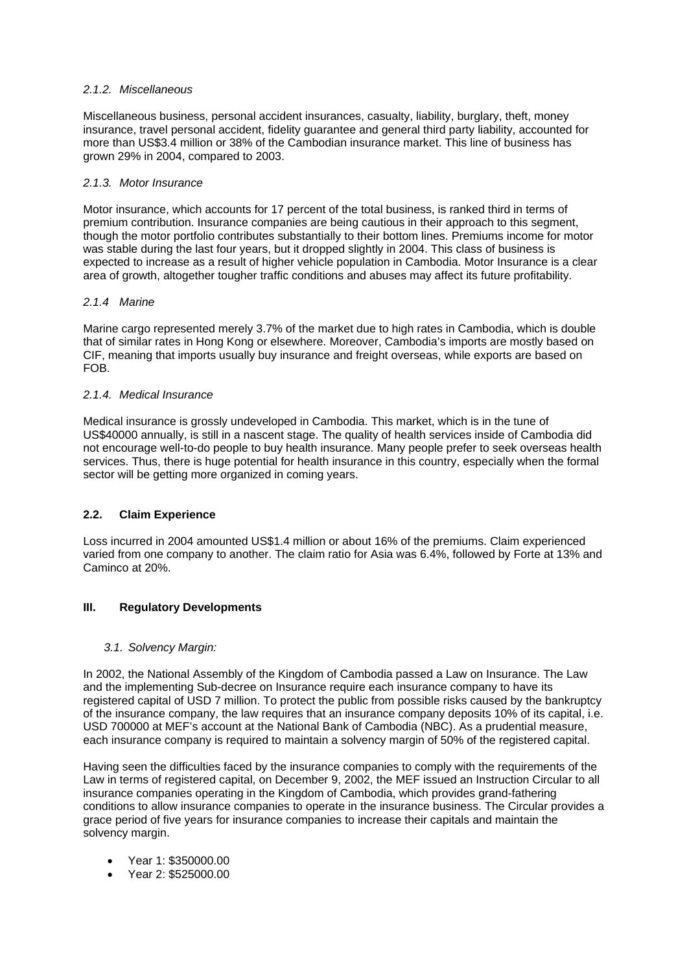## *2.1.2. Miscellaneous*

Miscellaneous business, personal accident insurances, casualty, liability, burglary, theft, money insurance, travel personal accident, fidelity guarantee and general third party liability, accounted for more than US\$3.4 million or 38% of the Cambodian insurance market. This line of business has grown 29% in 2004, compared to 2003.

### *2.1.3. Motor Insurance*

Motor insurance, which accounts for 17 percent of the total business, is ranked third in terms of premium contribution. Insurance companies are being cautious in their approach to this segment, though the motor portfolio contributes substantially to their bottom lines. Premiums income for motor was stable during the last four years, but it dropped slightly in 2004. This class of business is expected to increase as a result of higher vehicle population in Cambodia. Motor Insurance is a clear area of growth, altogether tougher traffic conditions and abuses may affect its future profitability.

### *2.1.4 Marine*

Marine cargo represented merely 3.7% of the market due to high rates in Cambodia, which is double that of similar rates in Hong Kong or elsewhere. Moreover, Cambodia's imports are mostly based on CIF, meaning that imports usually buy insurance and freight overseas, while exports are based on FOB.

### *2.1.4. Medical Insurance*

Medical insurance is grossly undeveloped in Cambodia. This market, which is in the tune of US\$40000 annually, is still in a nascent stage. The quality of health services inside of Cambodia did not encourage well-to-do people to buy health insurance. Many people prefer to seek overseas health services. Thus, there is huge potential for health insurance in this country, especially when the formal sector will be getting more organized in coming years.

# **2.2. Claim Experience**

Loss incurred in 2004 amounted US\$1.4 million or about 16% of the premiums. Claim experienced varied from one company to another. The claim ratio for Asia was 6.4%, followed by Forte at 13% and Caminco at 20%.

## **III. Regulatory Developments**

#### *3.1. Solvency Margin:*

In 2002, the National Assembly of the Kingdom of Cambodia passed a Law on Insurance. The Law and the implementing Sub-decree on Insurance require each insurance company to have its registered capital of USD 7 million. To protect the public from possible risks caused by the bankruptcy of the insurance company, the law requires that an insurance company deposits 10% of its capital, i.e. USD 700000 at MEF's account at the National Bank of Cambodia (NBC). As a prudential measure, each insurance company is required to maintain a solvency margin of 50% of the registered capital.

Having seen the difficulties faced by the insurance companies to comply with the requirements of the Law in terms of registered capital, on December 9, 2002, the MEF issued an Instruction Circular to all insurance companies operating in the Kingdom of Cambodia, which provides grand-fathering conditions to allow insurance companies to operate in the insurance business. The Circular provides a grace period of five years for insurance companies to increase their capitals and maintain the solvency margin.

- Year 1: \$350000.00
- Year 2: \$525000.00